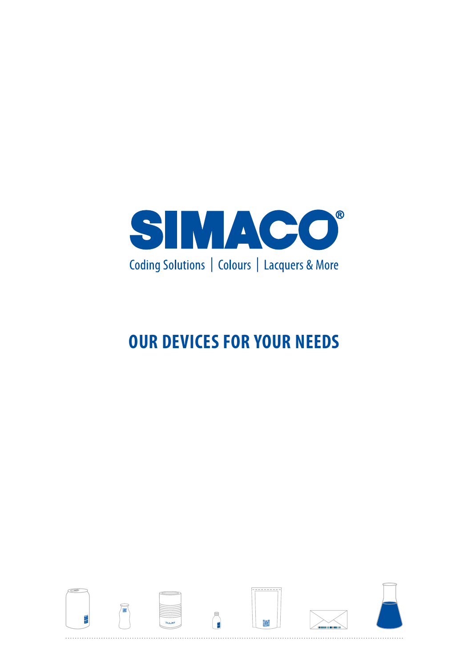

# **OUR DEVICES FOR YOUR NEEDS**

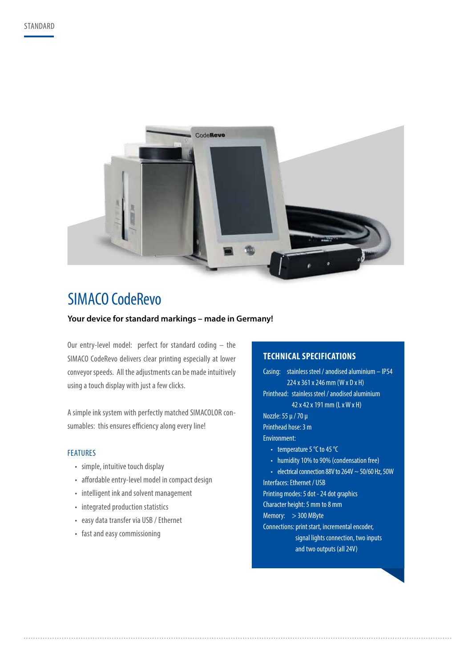

## SIMACO CodeRevo

#### **Your device for standard markings – made in Germany!**

Our entry-level model: perfect for standard coding – the SIMACO CodeRevo delivers clear printing especially at lower conveyor speeds. All the adjustments can be made intuitively using a touch display with just a few clicks.

A simple ink system with perfectly matched SIMACOLOR consumables: this ensures efficiency along every line!

#### FEATURES

- simple, intuitive touch display
- affordable entry-level model in compact design
- intelligent ink and solvent management
- integrated production statistics
- easy data transfer via USB / Ethernet
- fast and easy commissioning

#### **TECHNICAL SPECIFICATIONS**

Casing: stainless steel / anodised aluminium – IP54 224 x 361 x 246 mm (W x D x H) Printhead: stainless steel / anodised aluminium 42 x 42 x 191 mm (L x W x H) Nozzle: 55 μ / 70 μ Printhead hose: 3 m Environment: • temperature 5 °C to 45 °C • humidity 10% to 90% (condensation free) • electrical connection 88V to 264V  $\sim$  50/60 Hz, 50W Interfaces: Ethernet / USB

Printing modes: 5 dot - 24 dot graphics Character height: 5 mm to 8 mm Memory: > 300 MByte Connections: print start, incremental encoder, signal lights connection, two inputs and two outputs (all 24V)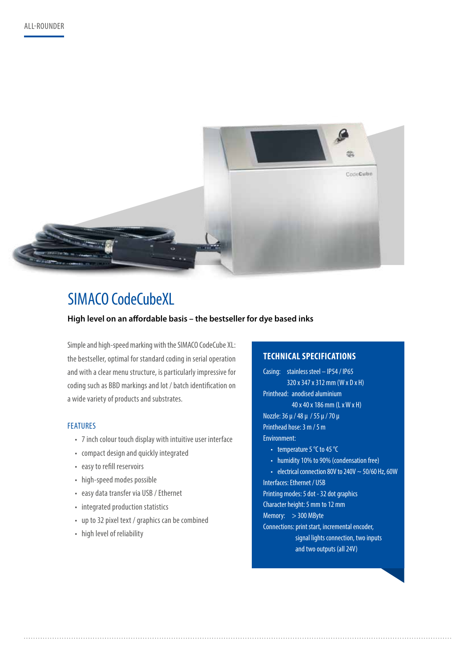

### SIMACO CodeCubeXL

#### **High level on an affordable basis – the bestseller for dye based inks**

Simple and high-speed marking with the SIMACO CodeCube XL: the bestseller, optimal for standard coding in serial operation and with a clear menu structure, is particularly impressive for coding such as BBD markings and lot / batch identification on a wide variety of products and substrates.

#### FEATURES

- 7 inch colour touch display with intuitive user interface
- compact design and quickly integrated
- easy to refill reservoirs
- high-speed modes possible
- easy data transfer via USB / Ethernet
- integrated production statistics
- up to 32 pixel text / graphics can be combined
- high level of reliability

#### **TECHNICAL SPECIFICATIONS**

Casing: stainless steel – IP54 / IP65 320 x 347 x 312 mm (W x D x H) Printhead: anodised aluminium 40 x 40 x 186 mm (L x W x H) Nozzle: 36 μ / 48 μ / 55 μ / 70 μ Printhead hose: 3 m / 5 m Environment: • temperature 5 °C to 45 °C • humidity 10% to 90% (condensation free) • electrical connection 80V to 240V  $\sim$  50/60 Hz, 60W Interfaces: Ethernet / USB

Printing modes: 5 dot - 32 dot graphics Character height: 5 mm to 12 mm Memory: > 300 MByte Connections: print start, incremental encoder, signal lights connection, two inputs and two outputs (all 24V)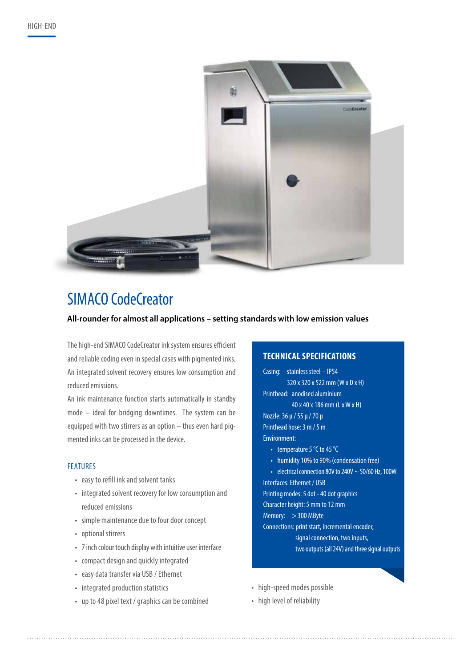

## SIMACO CodeCreator

#### **All-rounder for almost all applications – setting standards with low emission values**

The high-end SIMACO CodeCreator ink system ensures efficient and reliable coding even in special cases with pigmented inks. An integrated solvent recovery ensures low consumption and reduced emissions.

An ink maintenance function starts automatically in standby mode – ideal for bridging downtimes. The system can be equipped with two stirrers as an option – thus even hard pigmented inks can be processed in the device.

#### FEATURES

- easy to refill ink and solvent tanks
- integrated solvent recovery for low consumption and reduced emissions
- simple maintenance due to four door concept
- optional stirrers
- 7 inch colour touch display with intuitive user interface
- compact design and quickly integrated
- easy data transfer via USB / Ethernet
- integrated production statistics
- up to 48 pixel text / graphics can be combined

#### **TECHNICAL SPECIFICATIONS**

Casing: stainless steel – IP54 320 x 320 x 522 mm (W x D x H) Printhead: anodised aluminium 40 x 40 x 186 mm (L x W x H) Nozzle: 36 μ / 55 μ / 70 μ Printhead hose: 3 m / 5 m Environment: • temperature 5 °C to 45 °C • humidity 10% to 90% (condensation free)

 $\cdot$  electrical connection 80V to 240V  $\sim$  50/60 Hz, 100W Interfaces: Ethernet / USB Printing modes: 5 dot - 40 dot graphics Character height: 5 mm to 12 mm Memory: > 300 MByte Connections: print start, incremental encoder, signal connection, two inputs, two outputs (all 24V) and three signal outputs

- high-speed modes possible
- high level of reliability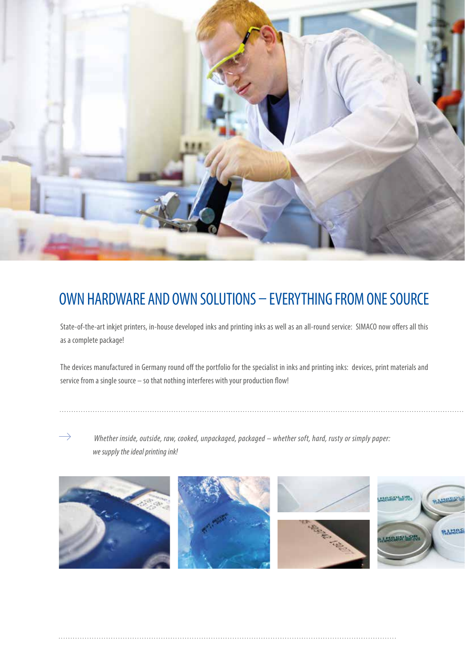

# OWN HARDWARE AND OWN SOLUTIONS – EVERYTHING FROM ONE SOURCE

State-of-the-art inkjet printers, in-house developed inks and printing inks as well as an all-round service: SIMACO now offers all this as a complete package!

The devices manufactured in Germany round off the portfolio for the specialist in inks and printing inks: devices, print materials and service from a single source – so that nothing interferes with your production flow!

 $\rightarrow$   $-$  Whether inside, outside, raw, cooked, unpackaged, packaged – whether soft, hard, rusty or simply paper:  *we supply the ideal printing ink!*